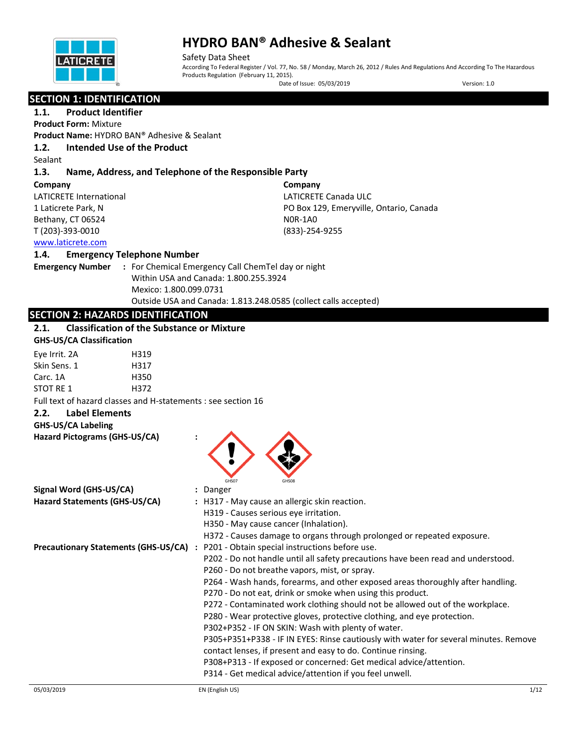

Safety Data Sheet According To Federal Register / Vol. 77, No. 58 / Monday, March 26, 2012 / Rules And Regulations And According To The Hazardous Products Regulation (February 11, 2015). Date of Issue: 05/03/2019 Version: 1.0

## **SECTION 1: IDENTIFICATION**

### **1.1. Product Identifier**

**Product Form:** Mixture

**Product Name:** HYDRO BAN® Adhesive & Sealant

### **1.2. Intended Use of the Product**

Sealant

#### **1.3. Name, Address, and Telephone of the Responsible Party**

**Company** 

LATICRETE International 1 Laticrete Park, N Bethany, CT 06524 T (203)-393-0010

**Company** LATICRETE Canada ULC PO Box 129, Emeryville, Ontario, Canada N0R-1A0 (833)-254-9255

### [www.laticrete.com](http://www.laticrete.com/)

#### **1.4. Emergency Telephone Number**

**Emergency Number :** For Chemical Emergency Call ChemTel day or night Within USA and Canada: 1.800.255.3924 Mexico: 1.800.099.0731 Outside USA and Canada: 1.813.248.0585 (collect calls accepted)

### **SECTION 2: HAZARDS IDENTIFICATION**

### **2.1. Classification of the Substance or Mixture**

| <b>GHS-US/CA Classification</b>                               |                                                                                  |
|---------------------------------------------------------------|----------------------------------------------------------------------------------|
| Eye Irrit. 2A<br>H319                                         |                                                                                  |
| Skin Sens. 1<br>H317                                          |                                                                                  |
| H350<br>Carc. 1A                                              |                                                                                  |
| STOT RE 1<br>H372                                             |                                                                                  |
| Full text of hazard classes and H-statements : see section 16 |                                                                                  |
| Label Elements<br>2.2.                                        |                                                                                  |
| <b>GHS-US/CA Labeling</b>                                     |                                                                                  |
| Hazard Pictograms (GHS-US/CA)                                 | GHS07<br>GHS08                                                                   |
| Signal Word (GHS-US/CA)                                       | : Danger                                                                         |
| Hazard Statements (GHS-US/CA)                                 | : H317 - May cause an allergic skin reaction.                                    |
|                                                               | H319 - Causes serious eye irritation.                                            |
|                                                               | H350 - May cause cancer (Inhalation).                                            |
|                                                               | H372 - Causes damage to organs through prolonged or repeated exposure.           |
| <b>Precautionary Statements (GHS-US/CA) :</b>                 | P201 - Obtain special instructions before use.                                   |
|                                                               | P202 - Do not handle until all safety precautions have been read and understood. |

P260 - Do not breathe vapors, mist, or spray.

P270 - Do not eat, drink or smoke when using this product.

contact lenses, if present and easy to do. Continue rinsing.

P314 - Get medical advice/attention if you feel unwell.

P302+P352 - IF ON SKIN: Wash with plenty of water.

P264 - Wash hands, forearms, and other exposed areas thoroughly after handling.

P272 - Contaminated work clothing should not be allowed out of the workplace.

P305+P351+P338 - IF IN EYES: Rinse cautiously with water for several minutes. Remove

P280 - Wear protective gloves, protective clothing, and eye protection.

P308+P313 - If exposed or concerned: Get medical advice/attention.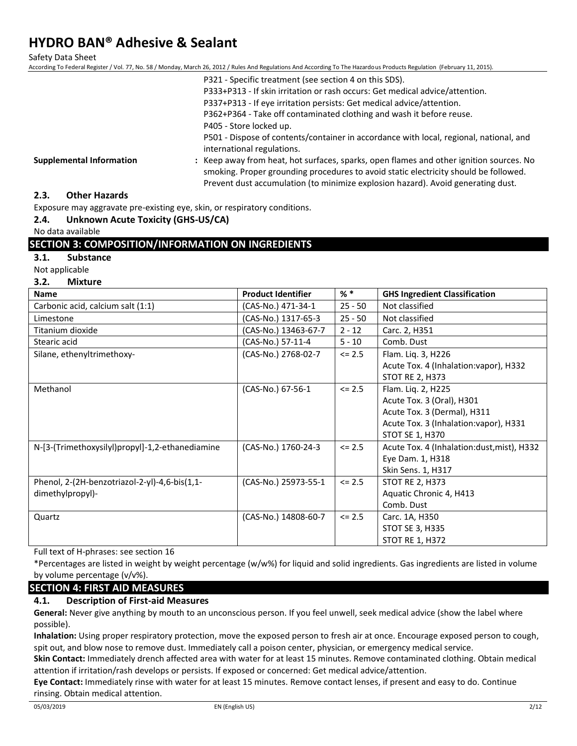Safety Data Sheet

According To Federal Register / Vol. 77, No. 58 / Monday, March 26, 2012 / Rules And Regulations And According To The Hazardous Products Regulation (February 11, 2015).

|                                 | P321 - Specific treatment (see section 4 on this SDS).                                  |
|---------------------------------|-----------------------------------------------------------------------------------------|
|                                 | P333+P313 - If skin irritation or rash occurs: Get medical advice/attention.            |
|                                 | P337+P313 - If eye irritation persists: Get medical advice/attention.                   |
|                                 | P362+P364 - Take off contaminated clothing and wash it before reuse.                    |
|                                 | P405 - Store locked up.                                                                 |
|                                 | P501 - Dispose of contents/container in accordance with local, regional, national, and  |
|                                 | international regulations.                                                              |
| <b>Supplemental Information</b> | : Keep away from heat, hot surfaces, sparks, open flames and other ignition sources. No |
|                                 | smoking. Proper grounding procedures to avoid static electricity should be followed.    |
|                                 | Prevent dust accumulation (to minimize explosion hazard). Avoid generating dust.        |

#### **2.3. Other Hazards**

Exposure may aggravate pre-existing eye, skin, or respiratory conditions.

#### **2.4. Unknown Acute Toxicity (GHS-US/CA)**

No data available

#### **SECTION 3: COMPOSITION/INFORMATION ON INGREDIENTS**

#### **3.1. Substance**

Not applicable

#### **3.2. Mixture**

| <b>Name</b>                                     | <b>Product Identifier</b> | % *        | <b>GHS Ingredient Classification</b>       |
|-------------------------------------------------|---------------------------|------------|--------------------------------------------|
| Carbonic acid, calcium salt (1:1)               | (CAS-No.) 471-34-1        | $25 - 50$  | Not classified                             |
| Limestone                                       | (CAS-No.) 1317-65-3       | $25 - 50$  | Not classified                             |
| Titanium dioxide                                | (CAS-No.) 13463-67-7      | $2 - 12$   | Carc. 2, H351                              |
| Stearic acid                                    | (CAS-No.) 57-11-4         | $5 - 10$   | Comb. Dust                                 |
| Silane, ethenyltrimethoxy-                      | (CAS-No.) 2768-02-7       | $\leq$ 2.5 | Flam. Liq. 3, H226                         |
|                                                 |                           |            | Acute Tox. 4 (Inhalation: vapor), H332     |
|                                                 |                           |            | <b>STOT RE 2, H373</b>                     |
| Methanol                                        | (CAS-No.) 67-56-1         | $\le$ 2.5  | Flam. Liq. 2, H225                         |
|                                                 |                           |            | Acute Tox. 3 (Oral), H301                  |
|                                                 |                           |            | Acute Tox. 3 (Dermal), H311                |
|                                                 |                           |            | Acute Tox. 3 (Inhalation: vapor), H331     |
|                                                 |                           |            | STOT SE 1, H370                            |
| N-[3-(Trimethoxysilyl)propyl]-1,2-ethanediamine | (CAS-No.) 1760-24-3       | $\le$ 2.5  | Acute Tox. 4 (Inhalation:dust, mist), H332 |
|                                                 |                           |            | Eye Dam. 1, H318                           |
|                                                 |                           |            | Skin Sens. 1, H317                         |
| Phenol, 2-(2H-benzotriazol-2-yl)-4,6-bis(1,1-   | (CAS-No.) 25973-55-1      | $\le$ 2.5  | <b>STOT RE 2, H373</b>                     |
| dimethylpropyl)-                                |                           |            | Aquatic Chronic 4, H413                    |
|                                                 |                           |            | Comb. Dust                                 |
| Quartz                                          | (CAS-No.) 14808-60-7      | $\le$ 2.5  | Carc. 1A, H350                             |
|                                                 |                           |            | STOT SE 3, H335                            |
|                                                 |                           |            | <b>STOT RE 1, H372</b>                     |

Full text of H-phrases: see section 16

\*Percentages are listed in weight by weight percentage (w/w%) for liquid and solid ingredients. Gas ingredients are listed in volume by volume percentage (v/v%).

## **SECTION 4: FIRST AID MEASURES**

### **4.1. Description of First-aid Measures**

**General:** Never give anything by mouth to an unconscious person. If you feel unwell, seek medical advice (show the label where possible).

**Inhalation:** Using proper respiratory protection, move the exposed person to fresh air at once. Encourage exposed person to cough, spit out, and blow nose to remove dust. Immediately call a poison center, physician, or emergency medical service.

**Skin Contact:** Immediately drench affected area with water for at least 15 minutes. Remove contaminated clothing. Obtain medical attention if irritation/rash develops or persists. If exposed or concerned: Get medical advice/attention.

**Eye Contact:** Immediately rinse with water for at least 15 minutes. Remove contact lenses, if present and easy to do. Continue rinsing. Obtain medical attention.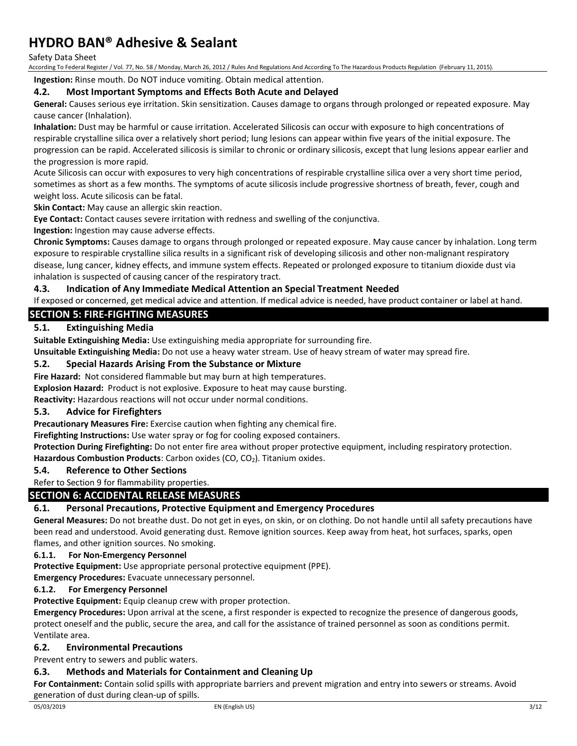Safety Data Sheet

According To Federal Register / Vol. 77, No. 58 / Monday, March 26, 2012 / Rules And Regulations And According To The Hazardous Products Regulation (February 11, 2015).

**Ingestion:** Rinse mouth. Do NOT induce vomiting. Obtain medical attention.

#### **4.2. Most Important Symptoms and Effects Both Acute and Delayed**

**General:** Causes serious eye irritation. Skin sensitization. Causes damage to organs through prolonged or repeated exposure. May cause cancer (Inhalation).

**Inhalation:** Dust may be harmful or cause irritation. Accelerated Silicosis can occur with exposure to high concentrations of respirable crystalline silica over a relatively short period; lung lesions can appear within five years of the initial exposure. The progression can be rapid. Accelerated silicosis is similar to chronic or ordinary silicosis, except that lung lesions appear earlier and the progression is more rapid.

Acute Silicosis can occur with exposures to very high concentrations of respirable crystalline silica over a very short time period, sometimes as short as a few months. The symptoms of acute silicosis include progressive shortness of breath, fever, cough and weight loss. Acute silicosis can be fatal.

**Skin Contact:** May cause an allergic skin reaction.

**Eye Contact:** Contact causes severe irritation with redness and swelling of the conjunctiva.

**Ingestion:** Ingestion may cause adverse effects.

**Chronic Symptoms:** Causes damage to organs through prolonged or repeated exposure. May cause cancer by inhalation. Long term exposure to respirable crystalline silica results in a significant risk of developing silicosis and other non-malignant respiratory disease, lung cancer, kidney effects, and immune system effects. Repeated or prolonged exposure to titanium dioxide dust via inhalation is suspected of causing cancer of the respiratory tract.

#### **4.3. Indication of Any Immediate Medical Attention an Special Treatment Needed**

If exposed or concerned, get medical advice and attention. If medical advice is needed, have product container or label at hand.

### **SECTION 5: FIRE-FIGHTING MEASURES**

### **5.1. Extinguishing Media**

**Suitable Extinguishing Media:** Use extinguishing media appropriate for surrounding fire.

**Unsuitable Extinguishing Media:** Do not use a heavy water stream. Use of heavy stream of water may spread fire.

#### **5.2. Special Hazards Arising From the Substance or Mixture**

**Fire Hazard:** Not considered flammable but may burn at high temperatures.

**Explosion Hazard:** Product is not explosive. Exposure to heat may cause bursting.

**Reactivity:** Hazardous reactions will not occur under normal conditions.

#### **5.3. Advice for Firefighters**

**Precautionary Measures Fire:** Exercise caution when fighting any chemical fire.

**Firefighting Instructions:** Use water spray or fog for cooling exposed containers.

**Protection During Firefighting:** Do not enter fire area without proper protective equipment, including respiratory protection. Hazardous Combustion Products: Carbon oxides (CO, CO<sub>2</sub>). Titanium oxides.

#### **5.4. Reference to Other Sections**

Refer to Section 9 for flammability properties.

### **SECTION 6: ACCIDENTAL RELEASE MEASURES**

### **6.1. Personal Precautions, Protective Equipment and Emergency Procedures**

**General Measures:** Do not breathe dust. Do not get in eyes, on skin, or on clothing. Do not handle until all safety precautions have been read and understood. Avoid generating dust. Remove ignition sources. Keep away from heat, hot surfaces, sparks, open flames, and other ignition sources. No smoking.

#### **6.1.1. For Non-Emergency Personnel**

**Protective Equipment:** Use appropriate personal protective equipment (PPE).

**Emergency Procedures:** Evacuate unnecessary personnel.

#### **6.1.2. For Emergency Personnel**

**Protective Equipment:** Equip cleanup crew with proper protection.

**Emergency Procedures:** Upon arrival at the scene, a first responder is expected to recognize the presence of dangerous goods, protect oneself and the public, secure the area, and call for the assistance of trained personnel as soon as conditions permit. Ventilate area.

#### **6.2. Environmental Precautions**

Prevent entry to sewers and public waters.

#### **6.3. Methods and Materials for Containment and Cleaning Up**

**For Containment:** Contain solid spills with appropriate barriers and prevent migration and entry into sewers or streams. Avoid generation of dust during clean-up of spills.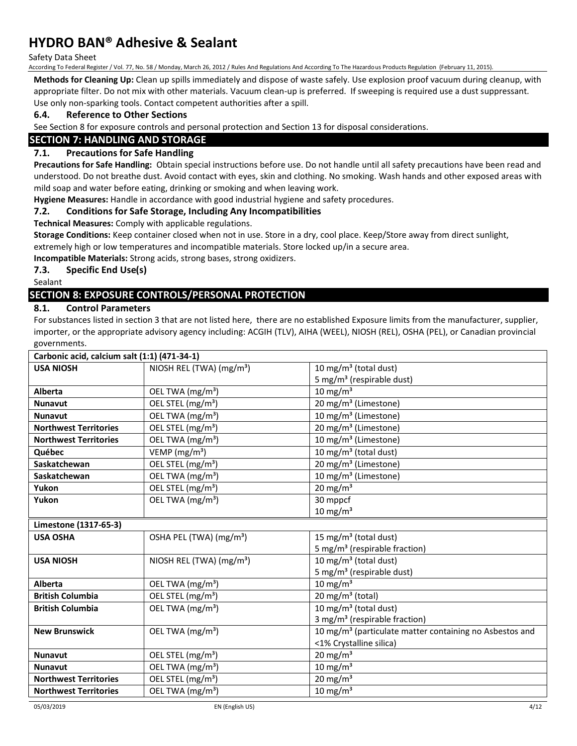Safety Data Sheet

According To Federal Register / Vol. 77, No. 58 / Monday, March 26, 2012 / Rules And Regulations And According To The Hazardous Products Regulation (February 11, 2015).

**Methods for Cleaning Up:** Clean up spills immediately and dispose of waste safely. Use explosion proof vacuum during cleanup, with appropriate filter. Do not mix with other materials. Vacuum clean-up is preferred. If sweeping is required use a dust suppressant. Use only non-sparking tools. Contact competent authorities after a spill.

### **6.4. Reference to Other Sections**

See Section 8 for exposure controls and personal protection and Section 13 for disposal considerations.

### **SECTION 7: HANDLING AND STORAGE**

#### **7.1. Precautions for Safe Handling**

**Precautions for Safe Handling:** Obtain special instructions before use. Do not handle until all safety precautions have been read and understood. Do not breathe dust. Avoid contact with eyes, skin and clothing. No smoking. Wash hands and other exposed areas with mild soap and water before eating, drinking or smoking and when leaving work.

**Hygiene Measures:** Handle in accordance with good industrial hygiene and safety procedures.

#### **7.2. Conditions for Safe Storage, Including Any Incompatibilities**

**Technical Measures:** Comply with applicable regulations.

**Storage Conditions:** Keep container closed when not in use. Store in a dry, cool place. Keep/Store away from direct sunlight, extremely high or low temperatures and incompatible materials. Store locked up/in a secure area.

**Incompatible Materials:** Strong acids, strong bases, strong oxidizers.

#### **7.3. Specific End Use(s)**

Sealant

### **SECTION 8: EXPOSURE CONTROLS/PERSONAL PROTECTION**

#### **8.1. Control Parameters**

For substances listed in section 3 that are not listed here, there are no established Exposure limits from the manufacturer, supplier, importer, or the appropriate advisory agency including: ACGIH (TLV), AIHA (WEEL), NIOSH (REL), OSHA (PEL), or Canadian provincial governments.

| Carbonic acid, calcium salt (1:1) (471-34-1) |                                      |                                                                     |
|----------------------------------------------|--------------------------------------|---------------------------------------------------------------------|
| <b>USA NIOSH</b>                             | NIOSH REL (TWA) (mg/m <sup>3</sup> ) | 10 mg/m <sup>3</sup> (total dust)                                   |
|                                              |                                      | 5 mg/m <sup>3</sup> (respirable dust)                               |
| Alberta                                      | OEL TWA (mg/m <sup>3</sup> )         | $10 \text{ mg/m}^3$                                                 |
| <b>Nunavut</b>                               | OEL STEL (mg/m <sup>3</sup> )        | 20 mg/m <sup>3</sup> (Limestone)                                    |
| <b>Nunavut</b>                               | OEL TWA (mg/m <sup>3</sup> )         | 10 mg/m <sup>3</sup> (Limestone)                                    |
| <b>Northwest Territories</b>                 | OEL STEL (mg/m <sup>3</sup> )        | 20 mg/m <sup>3</sup> (Limestone)                                    |
| <b>Northwest Territories</b>                 | OEL TWA (mg/m <sup>3</sup> )         | 10 mg/m <sup>3</sup> (Limestone)                                    |
| Québec                                       | VEMP (mg/m <sup>3</sup> )            | 10 mg/m <sup>3</sup> (total dust)                                   |
| Saskatchewan                                 | OEL STEL (mg/m <sup>3</sup> )        | 20 mg/m <sup>3</sup> (Limestone)                                    |
| Saskatchewan                                 | OEL TWA (mg/m <sup>3</sup> )         | 10 mg/m <sup>3</sup> (Limestone)                                    |
| Yukon                                        | OEL STEL (mg/m <sup>3</sup> )        | 20 mg/m $3$                                                         |
| Yukon                                        | OEL TWA (mg/m <sup>3</sup> )         | 30 mppcf                                                            |
|                                              |                                      | $10 \text{ mg/m}^3$                                                 |
| Limestone (1317-65-3)                        |                                      |                                                                     |
| <b>USA OSHA</b>                              | OSHA PEL (TWA) (mg/m <sup>3</sup> )  | 15 mg/m <sup>3</sup> (total dust)                                   |
|                                              |                                      | 5 mg/m <sup>3</sup> (respirable fraction)                           |
| <b>USA NIOSH</b>                             | NIOSH REL (TWA) $(mg/m3)$            | 10 mg/m <sup>3</sup> (total dust)                                   |
|                                              |                                      | 5 mg/m <sup>3</sup> (respirable dust)                               |
| Alberta                                      | OEL TWA (mg/m <sup>3</sup> )         | $10 \text{ mg/m}^3$                                                 |
| <b>British Columbia</b>                      | OEL STEL (mg/m <sup>3</sup> )        | 20 mg/m <sup>3</sup> (total)                                        |
| <b>British Columbia</b>                      | OEL TWA (mg/m <sup>3</sup> )         | 10 mg/m <sup>3</sup> (total dust)                                   |
|                                              |                                      | 3 mg/m <sup>3</sup> (respirable fraction)                           |
| <b>New Brunswick</b>                         | OEL TWA (mg/m <sup>3</sup> )         | 10 mg/m <sup>3</sup> (particulate matter containing no Asbestos and |
|                                              |                                      | <1% Crystalline silica)                                             |
| <b>Nunavut</b>                               | OEL STEL (mg/m <sup>3</sup> )        | 20 mg/m $3$                                                         |
| <b>Nunavut</b>                               | OEL TWA (mg/m <sup>3</sup> )         | 10 mg/m $3$                                                         |
| <b>Northwest Territories</b>                 | OEL STEL (mg/m <sup>3</sup> )        | 20 mg/m $3$                                                         |
| <b>Northwest Territories</b>                 | OEL TWA (mg/m <sup>3</sup> )         | 10 mg/m $3$                                                         |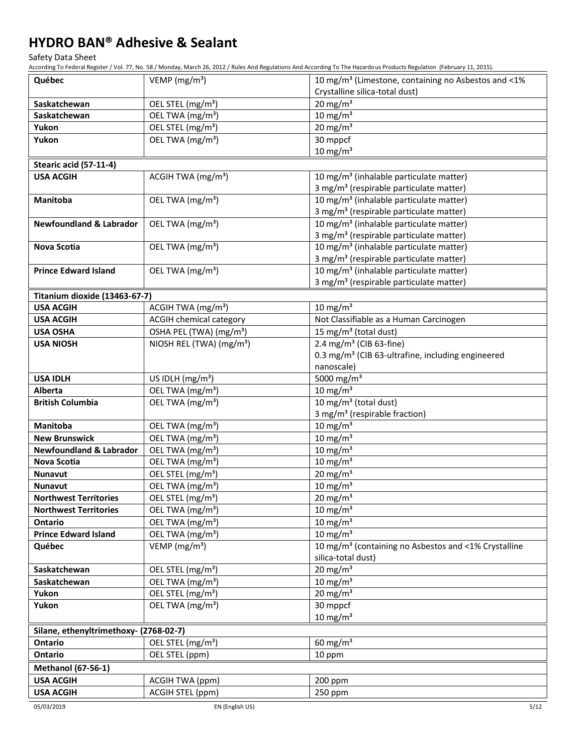Safety Data Sheet

According To Federal Register / Vol. 77, No. 58 / Monday, March 26, 2012 / Rules And Regulations And According To The Hazardous Products Regulation (February 11, 2015).

| Québec                                 | VEMP ( $mg/m3$ )                     | 10 mg/m <sup>3</sup> (Limestone, containing no Asbestos and <1%  |
|----------------------------------------|--------------------------------------|------------------------------------------------------------------|
|                                        |                                      | Crystalline silica-total dust)                                   |
| Saskatchewan                           | OEL STEL (mg/m <sup>3</sup> )        | 20 mg/m $3$                                                      |
| Saskatchewan                           | OEL TWA (mg/m <sup>3</sup> )         | $10 \text{ mg/m}^3$                                              |
| Yukon                                  | OEL STEL (mg/m <sup>3</sup> )        | 20 mg/m $3$                                                      |
| Yukon                                  | OEL TWA (mg/m <sup>3</sup> )         | $30$ mppcf                                                       |
|                                        |                                      | $10 \text{ mg/m}^3$                                              |
| Stearic acid (57-11-4)                 |                                      |                                                                  |
| <b>USA ACGIH</b>                       | ACGIH TWA (mg/m <sup>3</sup> )       | 10 mg/m <sup>3</sup> (inhalable particulate matter)              |
|                                        |                                      | 3 mg/m <sup>3</sup> (respirable particulate matter)              |
| Manitoba                               | OEL TWA (mg/m <sup>3</sup> )         | 10 mg/m <sup>3</sup> (inhalable particulate matter)              |
|                                        |                                      | 3 mg/m <sup>3</sup> (respirable particulate matter)              |
| <b>Newfoundland &amp; Labrador</b>     | OEL TWA (mg/m <sup>3</sup> )         | 10 mg/m <sup>3</sup> (inhalable particulate matter)              |
|                                        |                                      | 3 mg/m <sup>3</sup> (respirable particulate matter)              |
| <b>Nova Scotia</b>                     | OEL TWA (mg/m <sup>3</sup> )         | 10 mg/m <sup>3</sup> (inhalable particulate matter)              |
|                                        |                                      | 3 mg/m <sup>3</sup> (respirable particulate matter)              |
| <b>Prince Edward Island</b>            | OEL TWA (mg/m <sup>3</sup> )         | 10 mg/m <sup>3</sup> (inhalable particulate matter)              |
|                                        |                                      | 3 mg/m <sup>3</sup> (respirable particulate matter)              |
| Titanium dioxide (13463-67-7)          |                                      |                                                                  |
| <b>USA ACGIH</b>                       | ACGIH TWA (mg/m <sup>3</sup> )       | $10 \text{ mg/m}^3$                                              |
| <b>USA ACGIH</b>                       | <b>ACGIH chemical category</b>       | Not Classifiable as a Human Carcinogen                           |
| <b>USA OSHA</b>                        | OSHA PEL (TWA) (mg/m <sup>3</sup> )  | 15 mg/m <sup>3</sup> (total dust)                                |
| <b>USA NIOSH</b>                       | NIOSH REL (TWA) (mg/m <sup>3</sup> ) | 2.4 mg/m <sup>3</sup> (CIB 63-fine)                              |
|                                        |                                      | 0.3 mg/m <sup>3</sup> (CIB 63-ultrafine, including engineered    |
|                                        |                                      | nanoscale)                                                       |
| <b>USA IDLH</b>                        | US IDLH (mg/m <sup>3</sup> )         | 5000 mg/m <sup>3</sup>                                           |
| Alberta                                | OEL TWA (mg/m <sup>3</sup> )         | $10 \text{ mg/m}^3$                                              |
| <b>British Columbia</b>                | OEL TWA (mg/m <sup>3</sup> )         | 10 mg/m <sup>3</sup> (total dust)                                |
|                                        |                                      | 3 mg/m <sup>3</sup> (respirable fraction)                        |
| Manitoba                               | OEL TWA (mg/m <sup>3</sup> )         | $10 \text{ mg/m}^3$                                              |
| <b>New Brunswick</b>                   | OEL TWA (mg/m <sup>3</sup> )         | $10 \text{ mg/m}^3$                                              |
| <b>Newfoundland &amp; Labrador</b>     | OEL TWA (mg/m <sup>3</sup> )         | $10 \text{ mg/m}^3$                                              |
| Nova Scotia                            | OEL TWA (mg/m <sup>3</sup> )         | $10$ mg/m <sup>3</sup>                                           |
| <b>Nunavut</b>                         | OEL STEL (mg/m <sup>3</sup> )        | 20 mg/m $3$                                                      |
| <b>Nunavut</b>                         | OEL TWA (mg/m <sup>3</sup> )         | 10 mg/m $3$                                                      |
| <b>Northwest Territories</b>           | OEL STEL (mg/m <sup>3</sup> )        | 20 mg/m $3$                                                      |
| <b>Northwest Territories</b>           | OEL TWA (mg/m <sup>3</sup> )         | $10 \text{ mg/m}^3$                                              |
| Ontario                                | OEL TWA (mg/m <sup>3</sup> )         | $10 \text{ mg/m}^3$                                              |
| <b>Prince Edward Island</b>            | OEL TWA (mg/m <sup>3</sup> )         | $10 \text{ mg/m}^3$                                              |
| Québec                                 | VEMP ( $mg/m3$ )                     | 10 mg/m <sup>3</sup> (containing no Asbestos and <1% Crystalline |
|                                        |                                      | silica-total dust)                                               |
| Saskatchewan                           | OEL STEL (mg/m <sup>3</sup> )        | 20 mg/m $3$                                                      |
| Saskatchewan                           | OEL TWA (mg/m <sup>3</sup> )         | $10 \text{ mg/m}^3$                                              |
| Yukon                                  | OEL STEL (mg/m <sup>3</sup> )        | 20 mg/m $3$                                                      |
| Yukon                                  | OEL TWA (mg/m <sup>3</sup> )         | 30 mppcf                                                         |
|                                        |                                      | $10 \text{ mg/m}^3$                                              |
| Silane, ethenyltrimethoxy- (2768-02-7) |                                      |                                                                  |
| Ontario                                | OEL STEL (mg/m <sup>3</sup> )        | 60 mg/m $3$                                                      |
| <b>Ontario</b>                         | OEL STEL (ppm)                       | 10 ppm                                                           |
| <b>Methanol (67-56-1)</b>              |                                      |                                                                  |
| <b>USA ACGIH</b>                       | ACGIH TWA (ppm)                      | 200 ppm                                                          |
| <b>USA ACGIH</b>                       | ACGIH STEL (ppm)                     | 250 ppm                                                          |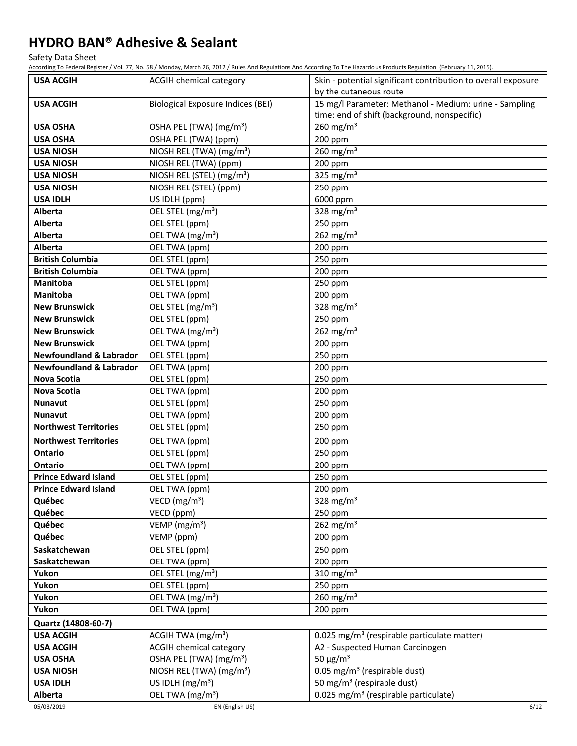Safety Data Sheet

According To Federal Register / Vol. 77, No. 58 / Monday, March 26, 2012 / Rules And Regulations And According To The Hazardous Products Regulation (February 11, 2015).

| <b>USA ACGIH</b>                   | ACGIH chemical category                  | Skin - potential significant contribution to overall exposure                                          |
|------------------------------------|------------------------------------------|--------------------------------------------------------------------------------------------------------|
|                                    |                                          | by the cutaneous route                                                                                 |
| <b>USA ACGIH</b>                   | <b>Biological Exposure Indices (BEI)</b> | 15 mg/l Parameter: Methanol - Medium: urine - Sampling<br>time: end of shift (background, nonspecific) |
| <b>USA OSHA</b>                    | OSHA PEL (TWA) (mg/m <sup>3</sup> )      | 260 mg/m $3$                                                                                           |
| <b>USA OSHA</b>                    | OSHA PEL (TWA) (ppm)                     | 200 ppm                                                                                                |
| <b>USA NIOSH</b>                   | NIOSH REL (TWA) (mg/m <sup>3</sup> )     | $260$ mg/m <sup>3</sup>                                                                                |
| <b>USA NIOSH</b>                   | NIOSH REL (TWA) (ppm)                    | 200 ppm                                                                                                |
| <b>USA NIOSH</b>                   | NIOSH REL (STEL) (mg/m <sup>3</sup> )    | 325 mg/m $3$                                                                                           |
| <b>USA NIOSH</b>                   | NIOSH REL (STEL) (ppm)                   | 250 ppm                                                                                                |
| <b>USA IDLH</b>                    | US IDLH (ppm)                            | 6000 ppm                                                                                               |
| <b>Alberta</b>                     | OEL STEL (mg/m <sup>3</sup> )            | $\frac{328 \text{ mg}}{\text{m}}$                                                                      |
| Alberta                            | OEL STEL (ppm)                           | 250 ppm                                                                                                |
| <b>Alberta</b>                     | OEL TWA (mg/m <sup>3</sup> )             | 262 mg/m <sup>3</sup>                                                                                  |
| Alberta                            | OEL TWA (ppm)                            | 200 ppm                                                                                                |
| <b>British Columbia</b>            | OEL STEL (ppm)                           | 250 ppm                                                                                                |
| <b>British Columbia</b>            | OEL TWA (ppm)                            | 200 ppm                                                                                                |
| <b>Manitoba</b>                    | OEL STEL (ppm)                           | 250 ppm                                                                                                |
| Manitoba                           | OEL TWA (ppm)                            | 200 ppm                                                                                                |
| <b>New Brunswick</b>               | OEL STEL (mg/m <sup>3</sup> )            | 328 mg/m $3$                                                                                           |
| <b>New Brunswick</b>               | OEL STEL (ppm)                           | 250 ppm                                                                                                |
| <b>New Brunswick</b>               | OEL TWA (mg/m <sup>3</sup> )             | 262 mg/m $3$                                                                                           |
| <b>New Brunswick</b>               | OEL TWA (ppm)                            | 200 ppm                                                                                                |
| <b>Newfoundland &amp; Labrador</b> | OEL STEL (ppm)                           | 250 ppm                                                                                                |
| <b>Newfoundland &amp; Labrador</b> | OEL TWA (ppm)                            | 200 ppm                                                                                                |
| <b>Nova Scotia</b>                 | OEL STEL (ppm)                           | 250 ppm                                                                                                |
| <b>Nova Scotia</b>                 | OEL TWA (ppm)                            | 200 ppm                                                                                                |
| <b>Nunavut</b>                     | OEL STEL (ppm)                           | 250 ppm                                                                                                |
| <b>Nunavut</b>                     | OEL TWA (ppm)                            | 200 ppm                                                                                                |
| <b>Northwest Territories</b>       | OEL STEL (ppm)                           | 250 ppm                                                                                                |
| <b>Northwest Territories</b>       | OEL TWA (ppm)                            | 200 ppm                                                                                                |
| <b>Ontario</b>                     | OEL STEL (ppm)                           | 250 ppm                                                                                                |
| <b>Ontario</b>                     | OEL TWA (ppm)                            | 200 ppm                                                                                                |
| <b>Prince Edward Island</b>        | OEL STEL (ppm)                           | 250 ppm                                                                                                |
| <b>Prince Edward Island</b>        | OEL TWA (ppm)                            | 200 ppm                                                                                                |
| Québec                             | VECD ( $mg/m3$ )                         | 328 mg/m <sup>3</sup>                                                                                  |
| Québec                             | VECD (ppm)                               | 250 ppm                                                                                                |
| Québec                             | VEMP ( $mg/m3$ )                         | 262 mg/m $3$                                                                                           |
| Québec                             | VEMP (ppm)                               | 200 ppm                                                                                                |
| Saskatchewan                       | OEL STEL (ppm)                           | 250 ppm                                                                                                |
| Saskatchewan                       | OEL TWA (ppm)                            | 200 ppm                                                                                                |
| Yukon                              | OEL STEL (mg/m <sup>3</sup> )            | 310 mg/m $3$                                                                                           |
| Yukon                              | OEL STEL (ppm)                           | 250 ppm                                                                                                |
| Yukon                              | OEL TWA (mg/m <sup>3</sup> )             | $260$ mg/m <sup>3</sup>                                                                                |
| Yukon                              | OEL TWA (ppm)                            | 200 ppm                                                                                                |
| Quartz (14808-60-7)                |                                          |                                                                                                        |
| <b>USA ACGIH</b>                   | ACGIH TWA (mg/m <sup>3</sup> )           | 0.025 mg/m <sup>3</sup> (respirable particulate matter)                                                |
| <b>USA ACGIH</b>                   | <b>ACGIH chemical category</b>           | A2 - Suspected Human Carcinogen                                                                        |
| <b>USA OSHA</b>                    | OSHA PEL (TWA) (mg/m <sup>3</sup> )      | 50 $\mu$ g/m <sup>3</sup>                                                                              |
| <b>USA NIOSH</b>                   | NIOSH REL (TWA) (mg/m <sup>3</sup> )     | 0.05 mg/m <sup>3</sup> (respirable dust)                                                               |
| <b>USA IDLH</b>                    | US IDLH $(mg/m3)$                        | 50 mg/m <sup>3</sup> (respirable dust)                                                                 |
| Alberta                            | OEL TWA (mg/m <sup>3</sup> )             | 0.025 mg/m <sup>3</sup> (respirable particulate)                                                       |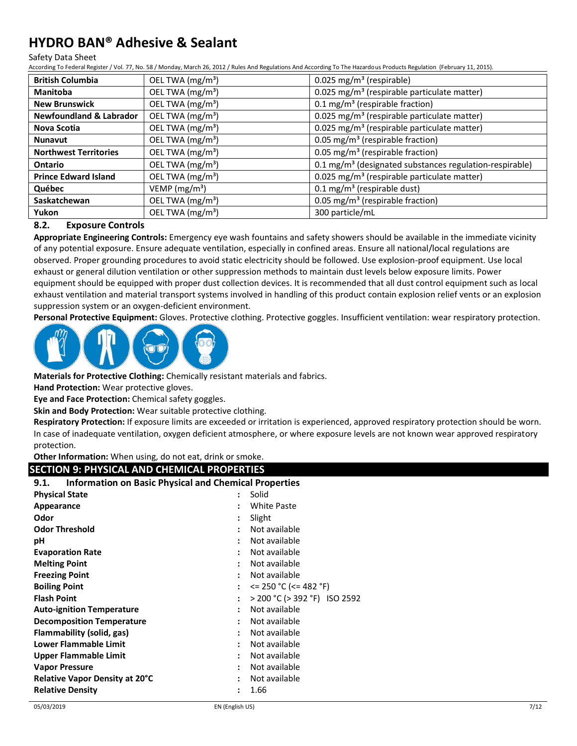#### Safety Data Sheet

According To Federal Register / Vol. 77, No. 58 / Monday, March 26, 2012 / Rules And Regulations And According To The Hazardous Products Regulation (February 11, 2015).

| <b>British Columbia</b>            | OEL TWA (mg/m <sup>3</sup> ) | 0.025 mg/m <sup>3</sup> (respirable)                                |
|------------------------------------|------------------------------|---------------------------------------------------------------------|
| <b>Manitoba</b>                    | OEL TWA (mg/m <sup>3</sup> ) | 0.025 mg/m <sup>3</sup> (respirable particulate matter)             |
| <b>New Brunswick</b>               | OEL TWA (mg/m <sup>3</sup> ) | 0.1 mg/m <sup>3</sup> (respirable fraction)                         |
| <b>Newfoundland &amp; Labrador</b> | OEL TWA (mg/m <sup>3</sup> ) | 0.025 mg/m <sup>3</sup> (respirable particulate matter)             |
| Nova Scotia                        | OEL TWA (mg/m <sup>3</sup> ) | 0.025 mg/m <sup>3</sup> (respirable particulate matter)             |
| <b>Nunavut</b>                     | OEL TWA (mg/m <sup>3</sup> ) | 0.05 mg/m <sup>3</sup> (respirable fraction)                        |
| <b>Northwest Territories</b>       | OEL TWA (mg/m <sup>3</sup> ) | 0.05 mg/m <sup>3</sup> (respirable fraction)                        |
| Ontario                            | OEL TWA (mg/m <sup>3</sup> ) | 0.1 mg/m <sup>3</sup> (designated substances regulation-respirable) |
| <b>Prince Edward Island</b>        | OEL TWA (mg/m <sup>3</sup> ) | 0.025 mg/m <sup>3</sup> (respirable particulate matter)             |
| Québec                             | VEMP ( $mg/m3$ )             | $0.1$ mg/m <sup>3</sup> (respirable dust)                           |
| Saskatchewan                       | OEL TWA (mg/m <sup>3</sup> ) | 0.05 mg/m <sup>3</sup> (respirable fraction)                        |
| Yukon                              | OEL TWA (mg/m <sup>3</sup> ) | 300 particle/mL                                                     |

#### **8.2. Exposure Controls**

**Appropriate Engineering Controls:** Emergency eye wash fountains and safety showers should be available in the immediate vicinity of any potential exposure. Ensure adequate ventilation, especially in confined areas. Ensure all national/local regulations are observed. Proper grounding procedures to avoid static electricity should be followed. Use explosion-proof equipment. Use local exhaust or general dilution ventilation or other suppression methods to maintain dust levels below exposure limits. Power equipment should be equipped with proper dust collection devices. It is recommended that all dust control equipment such as local exhaust ventilation and material transport systems involved in handling of this product contain explosion relief vents or an explosion suppression system or an oxygen-deficient environment.

**Personal Protective Equipment:** Gloves. Protective clothing. Protective goggles. Insufficient ventilation: wear respiratory protection.



**Materials for Protective Clothing:** Chemically resistant materials and fabrics.

**Hand Protection:** Wear protective gloves.

**Eye and Face Protection:** Chemical safety goggles.

**Skin and Body Protection:** Wear suitable protective clothing.

**Respiratory Protection:** If exposure limits are exceeded or irritation is experienced, approved respiratory protection should be worn. In case of inadequate ventilation, oxygen deficient atmosphere, or where exposure levels are not known wear approved respiratory protection.

**Other Information:** When using, do not eat, drink or smoke.

### **SECTION 9: PHYSICAL AND CHEMICAL PROPERTIES**

#### **9.1. Information on Basic Physical and Chemical Properties**

| <b>Physical State</b>            | Solid<br>:                                 |
|----------------------------------|--------------------------------------------|
| Appearance                       | <b>White Paste</b><br>٠                    |
| Odor                             | Slight<br>:                                |
| <b>Odor Threshold</b>            | Not available                              |
| рH                               | Not available                              |
| <b>Evaporation Rate</b>          | Not available                              |
| <b>Melting Point</b>             | Not available                              |
| <b>Freezing Point</b>            | Not available                              |
| <b>Boiling Point</b>             | $\epsilon$ = 250 °C ( $\epsilon$ = 482 °F) |
| <b>Flash Point</b>               | > 200 °C (> 392 °F) ISO 2592<br>:          |
| <b>Auto-ignition Temperature</b> | Not available                              |
| <b>Decomposition Temperature</b> | Not available                              |
| Flammability (solid, gas)        | Not available<br>$\ddot{\phantom{0}}$      |
| <b>Lower Flammable Limit</b>     | Not available<br>$\ddot{\phantom{0}}$      |
| Upper Flammable Limit            | Not available<br>÷                         |
| <b>Vapor Pressure</b>            | Not available<br>٠                         |
| Relative Vapor Density at 20°C   | Not available<br>٠                         |
| <b>Relative Density</b>          | 1.66                                       |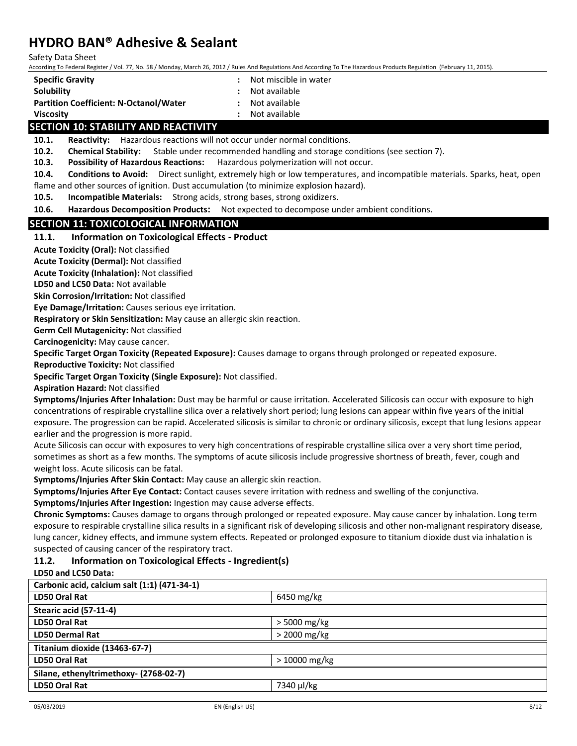Safety Data Sheet

According To Federal Register / Vol. 77, No. 58 / Monday, March 26, 2012 / Rules And Regulations And According To The Hazardous Products Regulation (February 11, 2015).

| <b>Specific Gravity</b>                       | : Not miscible i |
|-----------------------------------------------|------------------|
| Solubility                                    | : Not available  |
| <b>Partition Coefficient: N-Octanol/Water</b> | : Not available  |

- **Specific Gravity :** Not miscible in water **Not available**
- 
- 

**Viscosity :** Not available

### **SECTION 10: STABILITY AND REACTIVITY**

**10.1. Reactivity:** Hazardous reactions will not occur under normal conditions.

**10.2. Chemical Stability:** Stable under recommended handling and storage conditions (see section 7).

**10.3. Possibility of Hazardous Reactions:** Hazardous polymerization will not occur.

**10.4. Conditions to Avoid:** Direct sunlight, extremely high or low temperatures, and incompatible materials. Sparks, heat, open flame and other sources of ignition. Dust accumulation (to minimize explosion hazard).

**10.5. Incompatible Materials:** Strong acids, strong bases, strong oxidizers.

**10.6. Hazardous Decomposition Products:** Not expected to decompose under ambient conditions.

### **SECTION 11: TOXICOLOGICAL INFORMATION**

#### **11.1. Information on Toxicological Effects - Product**

**Acute Toxicity (Oral):** Not classified

**Acute Toxicity (Dermal):** Not classified

**Acute Toxicity (Inhalation):** Not classified

**LD50 and LC50 Data:** Not available

**Skin Corrosion/Irritation:** Not classified

**Eye Damage/Irritation:** Causes serious eye irritation.

**Respiratory or Skin Sensitization:** May cause an allergic skin reaction.

**Germ Cell Mutagenicity:** Not classified

**Carcinogenicity:** May cause cancer.

**Specific Target Organ Toxicity (Repeated Exposure):** Causes damage to organs through prolonged or repeated exposure.

**Reproductive Toxicity:** Not classified

**Specific Target Organ Toxicity (Single Exposure):** Not classified.

**Aspiration Hazard:** Not classified

**Symptoms/Injuries After Inhalation:** Dust may be harmful or cause irritation. Accelerated Silicosis can occur with exposure to high concentrations of respirable crystalline silica over a relatively short period; lung lesions can appear within five years of the initial exposure. The progression can be rapid. Accelerated silicosis is similar to chronic or ordinary silicosis, except that lung lesions appear earlier and the progression is more rapid.

Acute Silicosis can occur with exposures to very high concentrations of respirable crystalline silica over a very short time period, sometimes as short as a few months. The symptoms of acute silicosis include progressive shortness of breath, fever, cough and weight loss. Acute silicosis can be fatal.

**Symptoms/Injuries After Skin Contact:** May cause an allergic skin reaction.

**Symptoms/Injuries After Eye Contact:** Contact causes severe irritation with redness and swelling of the conjunctiva.

**Symptoms/Injuries After Ingestion:** Ingestion may cause adverse effects.

**Chronic Symptoms:** Causes damage to organs through prolonged or repeated exposure. May cause cancer by inhalation. Long term exposure to respirable crystalline silica results in a significant risk of developing silicosis and other non-malignant respiratory disease, lung cancer, kidney effects, and immune system effects. Repeated or prolonged exposure to titanium dioxide dust via inhalation is suspected of causing cancer of the respiratory tract.

### **11.2. Information on Toxicological Effects - Ingredient(s)**

**LD50 and LC50 Data:**

| Carbonic acid, calcium salt (1:1) (471-34-1) |                |
|----------------------------------------------|----------------|
| <b>LD50 Oral Rat</b>                         | 6450 mg/kg     |
| Stearic acid (57-11-4)                       |                |
| <b>LD50 Oral Rat</b>                         | $>$ 5000 mg/kg |
| <b>LD50 Dermal Rat</b>                       | $>$ 2000 mg/kg |
| Titanium dioxide (13463-67-7)                |                |
| LD50 Oral Rat                                | $>10000$ mg/kg |
| Silane, ethenyltrimethoxy- (2768-02-7)       |                |
| LD50 Oral Rat                                | 7340 µl/kg     |
|                                              |                |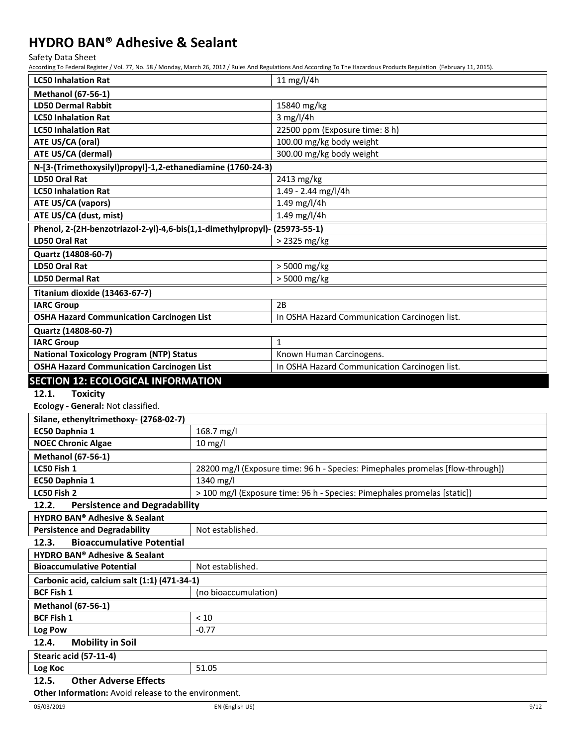Safety Data Sheet

According To Federal Register / Vol. 77, No. 58 / Monday, March 26, 2012 / Rules And Regulations And According To The Hazardous Products Regulation (February 11, 2015).

| <b>LC50 Inhalation Rat</b>                                                 |                      | 11 mg/l/4h                                                                     |  |
|----------------------------------------------------------------------------|----------------------|--------------------------------------------------------------------------------|--|
| <b>Methanol (67-56-1)</b>                                                  |                      |                                                                                |  |
| <b>LD50 Dermal Rabbit</b>                                                  |                      | 15840 mg/kg                                                                    |  |
| <b>LC50 Inhalation Rat</b>                                                 |                      | $3$ mg/l/4h                                                                    |  |
| <b>LC50 Inhalation Rat</b>                                                 |                      | 22500 ppm (Exposure time: 8 h)                                                 |  |
| ATE US/CA (oral)                                                           |                      | 100.00 mg/kg body weight                                                       |  |
| ATE US/CA (dermal)                                                         |                      | 300.00 mg/kg body weight                                                       |  |
| N-[3-(Trimethoxysilyl)propyl]-1,2-ethanediamine (1760-24-3)                |                      |                                                                                |  |
| <b>LD50 Oral Rat</b>                                                       |                      | 2413 mg/kg                                                                     |  |
| <b>LC50 Inhalation Rat</b>                                                 |                      | 1.49 - 2.44 mg/l/4h                                                            |  |
| <b>ATE US/CA (vapors)</b>                                                  |                      | 1.49 mg/l/4h                                                                   |  |
| ATE US/CA (dust, mist)                                                     |                      | 1.49 mg/l/4h                                                                   |  |
| Phenol, 2-(2H-benzotriazol-2-yl)-4,6-bis(1,1-dimethylpropyl)- (25973-55-1) |                      |                                                                                |  |
| <b>LD50 Oral Rat</b>                                                       |                      | > 2325 mg/kg                                                                   |  |
| Quartz (14808-60-7)                                                        |                      |                                                                                |  |
| <b>LD50 Oral Rat</b>                                                       |                      | > 5000 mg/kg                                                                   |  |
| <b>LD50 Dermal Rat</b>                                                     |                      | > 5000 mg/kg                                                                   |  |
| Titanium dioxide (13463-67-7)                                              |                      |                                                                                |  |
| <b>IARC Group</b>                                                          |                      | 2B                                                                             |  |
| <b>OSHA Hazard Communication Carcinogen List</b>                           |                      | In OSHA Hazard Communication Carcinogen list.                                  |  |
| Quartz (14808-60-7)                                                        |                      |                                                                                |  |
| <b>IARC Group</b>                                                          |                      | $\mathbf{1}$                                                                   |  |
| <b>National Toxicology Program (NTP) Status</b>                            |                      | Known Human Carcinogens.                                                       |  |
| <b>OSHA Hazard Communication Carcinogen List</b>                           |                      | In OSHA Hazard Communication Carcinogen list.                                  |  |
|                                                                            |                      |                                                                                |  |
| <b>SECTION 12: ECOLOGICAL INFORMATION</b>                                  |                      |                                                                                |  |
| 12.1.<br><b>Toxicity</b>                                                   |                      |                                                                                |  |
| Ecology - General: Not classified.                                         |                      |                                                                                |  |
| Silane, ethenyltrimethoxy- (2768-02-7)                                     |                      |                                                                                |  |
| EC50 Daphnia 1                                                             | 168.7 mg/l           |                                                                                |  |
| <b>NOEC Chronic Algae</b>                                                  | $10$ mg/l            |                                                                                |  |
| <b>Methanol (67-56-1)</b>                                                  |                      |                                                                                |  |
| LC50 Fish 1                                                                |                      | 28200 mg/l (Exposure time: 96 h - Species: Pimephales promelas [flow-through]) |  |
| EC50 Daphnia 1                                                             | 1340 mg/l            |                                                                                |  |
| LC50 Fish 2                                                                |                      | > 100 mg/l (Exposure time: 96 h - Species: Pimephales promelas [static])       |  |
| <b>Persistence and Degradability</b><br>12.2.                              |                      |                                                                                |  |
| <b>HYDRO BAN® Adhesive &amp; Sealant</b>                                   |                      |                                                                                |  |
| <b>Persistence and Degradability</b>                                       | Not established.     |                                                                                |  |
| 12.3.<br><b>Bioaccumulative Potential</b>                                  |                      |                                                                                |  |
| <b>HYDRO BAN® Adhesive &amp; Sealant</b>                                   |                      |                                                                                |  |
| <b>Bioaccumulative Potential</b>                                           | Not established.     |                                                                                |  |
| Carbonic acid, calcium salt (1:1) (471-34-1)                               |                      |                                                                                |  |
| <b>BCF Fish 1</b>                                                          | (no bioaccumulation) |                                                                                |  |
| <b>Methanol (67-56-1)</b>                                                  |                      |                                                                                |  |
| <b>BCF Fish 1</b>                                                          | < 10                 |                                                                                |  |
| Log Pow                                                                    | $-0.77$              |                                                                                |  |
| 12.4.<br><b>Mobility in Soil</b>                                           |                      |                                                                                |  |
| Stearic acid (57-11-4)                                                     |                      |                                                                                |  |
| Log Koc                                                                    | 51.05                |                                                                                |  |
| <b>Other Adverse Effects</b><br>12.5.                                      |                      |                                                                                |  |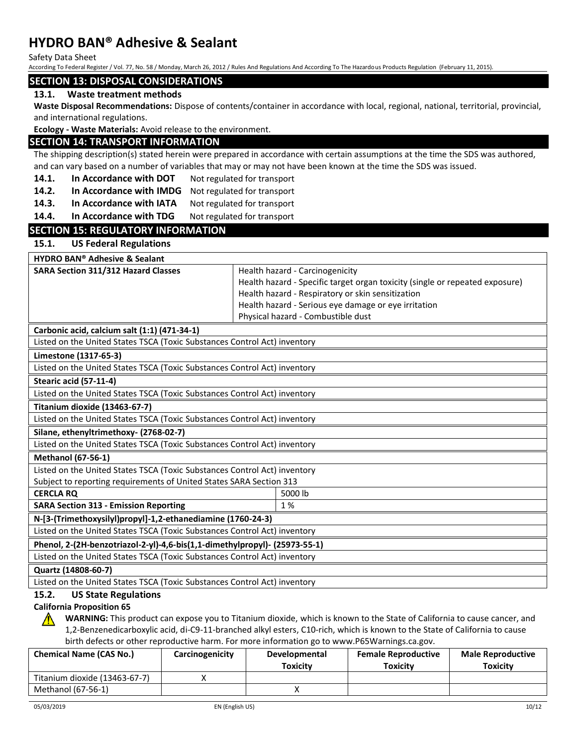Safety Data Sheet

According To Federal Register / Vol. 77, No. 58 / Monday, March 26, 2012 / Rules And Regulations And According To The Hazardous Products Regulation (February 11, 2015).

#### **SECTION 13: DISPOSAL CONSIDERATIONS**

#### **13.1. Waste treatment methods**

**Waste Disposal Recommendations:** Dispose of contents/container in accordance with local, regional, national, territorial, provincial, and international regulations.

**Ecology - Waste Materials:** Avoid release to the environment.

#### **SECTION 14: TRANSPORT INFORMATION**

The shipping description(s) stated herein were prepared in accordance with certain assumptions at the time the SDS was authored, and can vary based on a number of variables that may or may not have been known at the time the SDS was issued.

- **14.1. In Accordance with DOT** Not regulated for transport
- **14.2. In Accordance with IMDG** Not regulated for transport
- 14.3. **In Accordance with IATA** Not regulated for transport
- 14.4. In Accordance with TDG Not regulated for transport

### **SECTION 15: REGULATORY INFORMATION**

#### **15.1. US Federal Regulations**

**HYDRO BAN® Adhesive & Sealant**

| <b>SARA Section 311/312 Hazard Classes</b>               | Health hazard - Carcinogenicity                                              |
|----------------------------------------------------------|------------------------------------------------------------------------------|
|                                                          | Health hazard - Specific target organ toxicity (single or repeated exposure) |
|                                                          | Health hazard - Respiratory or skin sensitization                            |
|                                                          | Health hazard - Serious eye damage or eye irritation                         |
|                                                          | Physical hazard - Combustible dust                                           |
| $Coshonic solid, colid, and c)$ $(1.1)$ $(1.71, 2.1, 1)$ |                                                                              |

**Carbonic acid, calcium salt (1:1) (471-34-1)** Listed on the United States TSCA (Toxic Substances Control Act) inventory

**Limestone (1317-65-3)**

Listed on the United States TSCA (Toxic Substances Control Act) inventory **Stearic acid (57-11-4)**

Listed on the United States TSCA (Toxic Substances Control Act) inventory

**Titanium dioxide (13463-67-7)**

Listed on the United States TSCA (Toxic Substances Control Act) inventory

**Silane, ethenyltrimethoxy- (2768-02-7)**

Listed on the United States TSCA (Toxic Substances Control Act) inventory

#### **Methanol (67-56-1)**

Listed on the United States TSCA (Toxic Substances Control Act) inventory Subject to reporting requirements of United States SARA Section 313

#### **CERCLA RQ** 5000 lb

**SARA Section 313 - Emission Reporting 1 % and 1 % and 1 % and 1 % and 1 % and 1 % and 1 % and 1 % and 1 % and 1 % and 1 % and 1 % and 1 % and 1 % and 1 % and 1 % and 1 % and 1 % and 1 % and 1 % and 1 % and 1 % and 1 % and** 

**N-[3-(Trimethoxysilyl)propyl]-1,2-ethanediamine (1760-24-3)** Listed on the United States TSCA (Toxic Substances Control Act) inventory

**Phenol, 2-(2H-benzotriazol-2-yl)-4,6-bis(1,1-dimethylpropyl)- (25973-55-1)** Listed on the United States TSCA (Toxic Substances Control Act) inventory

#### **Quartz (14808-60-7)**

Listed on the United States TSCA (Toxic Substances Control Act) inventory

#### **15.2. US State Regulations**

#### **California Proposition 65**

**WARNING:** This product can expose you to Titanium dioxide, which is known to the State of California to cause cancer, and 1,2-Benzenedicarboxylic acid, di-C9-11-branched alkyl esters, C10-rich, which is known to the State of California to cause birth defects or other reproductive harm. For more information go to www.P65Warnings.ca.gov.

| <b>Chemical Name (CAS No.)</b> | Carcinogenicity | <b>Developmental</b><br><b>Toxicity</b> | <b>Female Reproductive</b><br>Toxicitv | <b>Male Reproductive</b><br>Toxicity |
|--------------------------------|-----------------|-----------------------------------------|----------------------------------------|--------------------------------------|
| Titanium dioxide (13463-67-7)  |                 |                                         |                                        |                                      |
| Methanol (67-56-1)             |                 |                                         |                                        |                                      |

 $\sqrt{N}$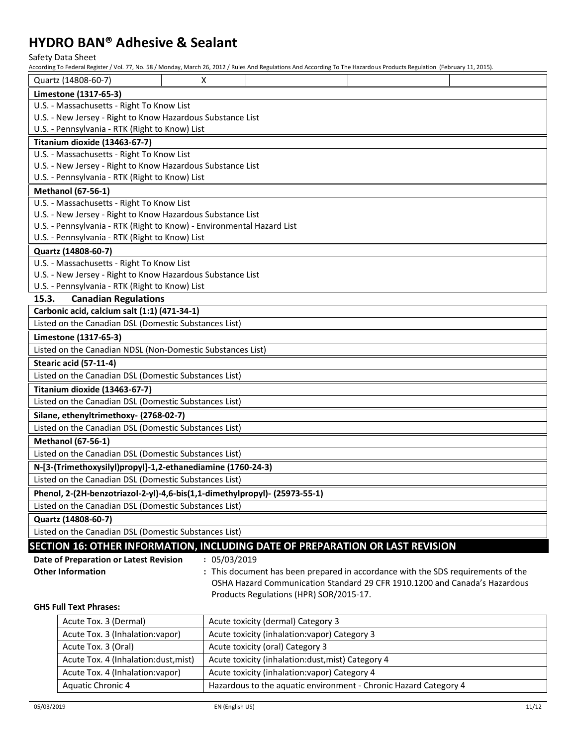Safety Data Sheet

According To Federal Register / Vol. 77, No. 58 / Monday, March 26, 2012 / Rules And Regulations And According To The Hazardous Products Regulation (February 11, 2015).

|                                                             | Quartz (14808-60-7)                                                           | X            |                                                                                  |  |  |  |
|-------------------------------------------------------------|-------------------------------------------------------------------------------|--------------|----------------------------------------------------------------------------------|--|--|--|
|                                                             | Limestone (1317-65-3)                                                         |              |                                                                                  |  |  |  |
| U.S. - Massachusetts - Right To Know List                   |                                                                               |              |                                                                                  |  |  |  |
| U.S. - New Jersey - Right to Know Hazardous Substance List  |                                                                               |              |                                                                                  |  |  |  |
| U.S. - Pennsylvania - RTK (Right to Know) List              |                                                                               |              |                                                                                  |  |  |  |
|                                                             | Titanium dioxide (13463-67-7)                                                 |              |                                                                                  |  |  |  |
|                                                             | U.S. - Massachusetts - Right To Know List                                     |              |                                                                                  |  |  |  |
|                                                             | U.S. - New Jersey - Right to Know Hazardous Substance List                    |              |                                                                                  |  |  |  |
|                                                             | U.S. - Pennsylvania - RTK (Right to Know) List                                |              |                                                                                  |  |  |  |
|                                                             | <b>Methanol (67-56-1)</b>                                                     |              |                                                                                  |  |  |  |
|                                                             | U.S. - Massachusetts - Right To Know List                                     |              |                                                                                  |  |  |  |
|                                                             | U.S. - New Jersey - Right to Know Hazardous Substance List                    |              |                                                                                  |  |  |  |
|                                                             | U.S. - Pennsylvania - RTK (Right to Know) - Environmental Hazard List         |              |                                                                                  |  |  |  |
|                                                             | U.S. - Pennsylvania - RTK (Right to Know) List                                |              |                                                                                  |  |  |  |
|                                                             | Quartz (14808-60-7)                                                           |              |                                                                                  |  |  |  |
|                                                             | U.S. - Massachusetts - Right To Know List                                     |              |                                                                                  |  |  |  |
| U.S. - New Jersey - Right to Know Hazardous Substance List  |                                                                               |              |                                                                                  |  |  |  |
|                                                             | U.S. - Pennsylvania - RTK (Right to Know) List                                |              |                                                                                  |  |  |  |
| 15.3.                                                       | <b>Canadian Regulations</b>                                                   |              |                                                                                  |  |  |  |
|                                                             | Carbonic acid, calcium salt (1:1) (471-34-1)                                  |              |                                                                                  |  |  |  |
|                                                             | Listed on the Canadian DSL (Domestic Substances List)                         |              |                                                                                  |  |  |  |
|                                                             | Limestone (1317-65-3)                                                         |              |                                                                                  |  |  |  |
|                                                             | Listed on the Canadian NDSL (Non-Domestic Substances List)                    |              |                                                                                  |  |  |  |
|                                                             | Stearic acid (57-11-4)                                                        |              |                                                                                  |  |  |  |
|                                                             | Listed on the Canadian DSL (Domestic Substances List)                         |              |                                                                                  |  |  |  |
| Titanium dioxide (13463-67-7)                               |                                                                               |              |                                                                                  |  |  |  |
|                                                             | Listed on the Canadian DSL (Domestic Substances List)                         |              |                                                                                  |  |  |  |
|                                                             | Silane, ethenyltrimethoxy- (2768-02-7)                                        |              |                                                                                  |  |  |  |
|                                                             | Listed on the Canadian DSL (Domestic Substances List)                         |              |                                                                                  |  |  |  |
|                                                             | <b>Methanol (67-56-1)</b>                                                     |              |                                                                                  |  |  |  |
| Listed on the Canadian DSL (Domestic Substances List)       |                                                                               |              |                                                                                  |  |  |  |
| N-[3-(Trimethoxysilyl)propyl]-1,2-ethanediamine (1760-24-3) |                                                                               |              |                                                                                  |  |  |  |
|                                                             | Listed on the Canadian DSL (Domestic Substances List)                         |              |                                                                                  |  |  |  |
|                                                             | Phenol, 2-(2H-benzotriazol-2-yl)-4,6-bis(1,1-dimethylpropyl)- (25973-55-1)    |              |                                                                                  |  |  |  |
| Listed on the Canadian DSL (Domestic Substances List)       |                                                                               |              |                                                                                  |  |  |  |
|                                                             | Quartz (14808-60-7)                                                           |              |                                                                                  |  |  |  |
|                                                             | Listed on the Canadian DSL (Domestic Substances List)                         |              |                                                                                  |  |  |  |
|                                                             | SECTION 16: OTHER INFORMATION, INCLUDING DATE OF PREPARATION OR LAST REVISION |              |                                                                                  |  |  |  |
|                                                             | Date of Preparation or Latest Revision                                        | : 05/03/2019 |                                                                                  |  |  |  |
|                                                             | <b>Other Information</b>                                                      |              | : This document has been prepared in accordance with the SDS requirements of the |  |  |  |
|                                                             |                                                                               |              | OSHA Hazard Communication Standard 29 CFR 1910.1200 and Canada's Hazardous       |  |  |  |
|                                                             |                                                                               |              | Products Regulations (HPR) SOR/2015-17.                                          |  |  |  |
|                                                             | <b>GHS Full Text Phrases:</b>                                                 |              |                                                                                  |  |  |  |
|                                                             | Acute Tox. 3 (Dermal)                                                         |              | Acute toxicity (dermal) Category 3                                               |  |  |  |
|                                                             | Acute Tox. 3 (Inhalation: vapor)                                              |              | Acute toxicity (inhalation: vapor) Category 3                                    |  |  |  |
|                                                             | Acute Tox. 3 (Oral)                                                           |              | Acute toxicity (oral) Category 3                                                 |  |  |  |
|                                                             | Acute Tox. 4 (Inhalation:dust, mist)                                          |              | Acute toxicity (inhalation:dust, mist) Category 4                                |  |  |  |

Aquatic Chronic 4 | Hazardous to the aquatic environment - Chronic Hazard Category 4

Acute Tox. 4 (Inhalation:vapor) | Acute toxicity (inhalation:vapor) Category 4